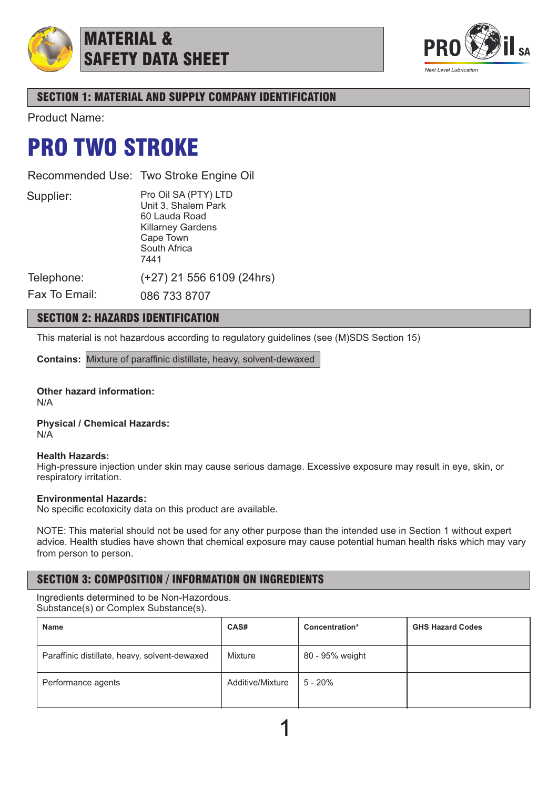

MATERIAL & SAFETY DATA SHEET



## SECTION 1: MATERIAL AND SUPPLY COMPANY IDENTIFICATION

Product Name:

# PRO TWO STROKE

Recommended Use: Two Stroke Engine Oil

Supplier:

Pro Oil SA (PTY) LTD Unit 3, Shalem Park 60 Lauda Road Killarney Gardens Cape Town South Africa 7441

(+27) 21 556 6109 (24hrs)

Telephone: Fax To Email:

086 733 8707

## SECTION 2: HAZARDS IDENTIFICATION

This material is not hazardous according to regulatory guidelines (see (M)SDS Section 15)

**Contains:** Mixture of paraffinic distillate, heavy, solvent-dewaxed

#### **Other hazard information:** N/A

**Physical / Chemical Hazards:** N/A

### **Health Hazards:**

High-pressure injection under skin may cause serious damage. Excessive exposure may result in eye, skin, or respiratory irritation.

### **Environmental Hazards:**

No specific ecotoxicity data on this product are available.

NOTE: This material should not be used for any other purpose than the intended use in Section 1 without expert advice. Health studies have shown that chemical exposure may cause potential human health risks which may vary from person to person.

## SECTION 3: COMPOSITION / INFORMATION ON INGREDIENTS

Ingredients determined to be Non-Hazordous. Substance(s) or Complex Substance(s).

| <b>Name</b>                                   | CAS#             | Concentration*  | <b>GHS Hazard Codes</b> |
|-----------------------------------------------|------------------|-----------------|-------------------------|
| Paraffinic distillate, heavy, solvent-dewaxed | Mixture          | 80 - 95% weight |                         |
| Performance agents                            | Additive/Mixture | $5 - 20%$       |                         |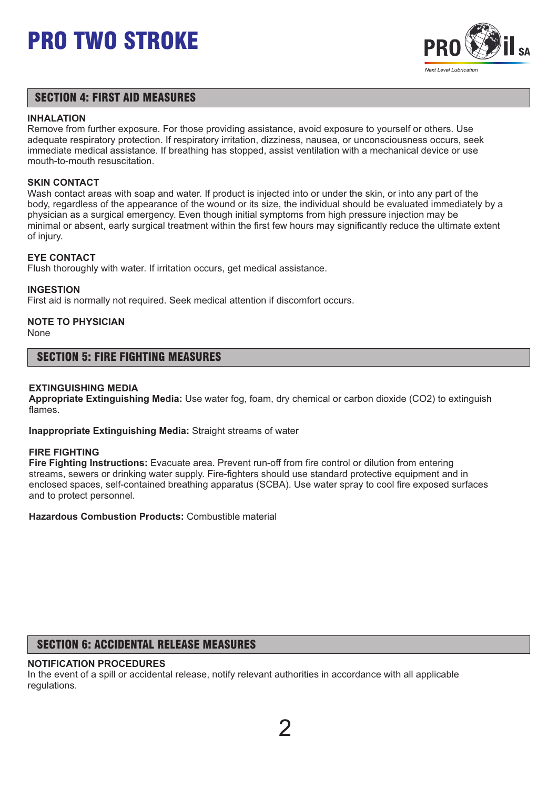

## SECTION 4: FIRST AID MEASURES

#### **INHALATION**

Remove from further exposure. For those providing assistance, avoid exposure to yourself or others. Use adequate respiratory protection. If respiratory irritation, dizziness, nausea, or unconsciousness occurs, seek immediate medical assistance. If breathing has stopped, assist ventilation with a mechanical device or use mouth-to-mouth resuscitation.

### **SKIN CONTACT**

Wash contact areas with soap and water. If product is injected into or under the skin, or into any part of the body, regardless of the appearance of the wound or its size, the individual should be evaluated immediately by a physician as a surgical emergency. Even though initial symptoms from high pressure injection may be minimal or absent, early surgical treatment within the first few hours may significantly reduce the ultimate extent of injury.

## **EYE CONTACT**

Flush thoroughly with water. If irritation occurs, get medical assistance.

### **INGESTION**

First aid is normally not required. Seek medical attention if discomfort occurs.

# **NOTE TO PHYSICIAN**

None

## SECTION 5: FIRE FIGHTING MEASURES

### **EXTINGUISHING MEDIA**

**Appropriate Extinguishing Media:** Use water fog, foam, dry chemical or carbon dioxide (CO2) to extinguish flames.

**Inappropriate Extinguishing Media:** Straight streams of water

### **FIRE FIGHTING**

**Fire Fighting Instructions:** Evacuate area. Prevent run-off from fire control or dilution from entering streams, sewers or drinking water supply. Fire-fighters should use standard protective equipment and in enclosed spaces, self-contained breathing apparatus (SCBA). Use water spray to cool fire exposed surfaces and to protect personnel.

**Hazardous Combustion Products:** Combustible material

## SECTION 6: ACCIDENTAL RELEASE MEASURES

### **NOTIFICATION PROCEDURES**

In the event of a spill or accidental release, notify relevant authorities in accordance with all applicable regulations.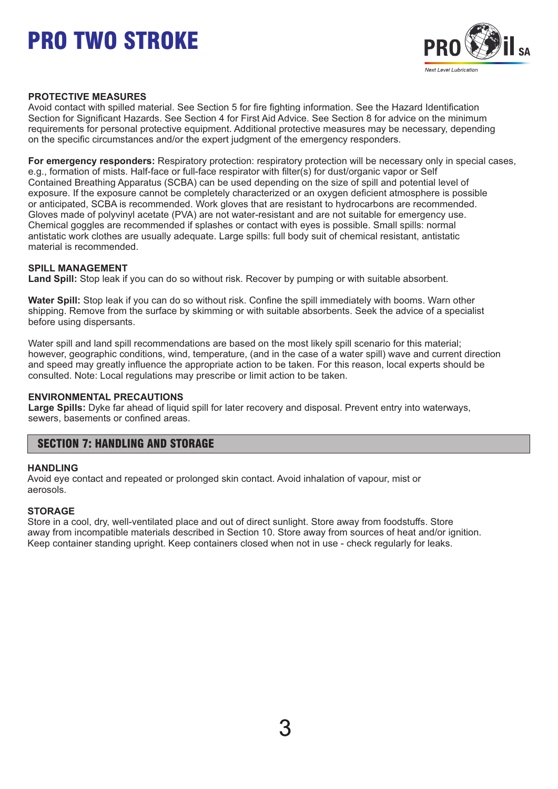

### **PROTECTIVE MEASURES**

Avoid contact with spilled material. See Section 5 for fire fighting information. See the Hazard Identification Section for Significant Hazards. See Section 4 for First Aid Advice. See Section 8 for advice on the minimum requirements for personal protective equipment. Additional protective measures may be necessary, depending on the specific circumstances and/or the expert judgment of the emergency responders.

**For emergency responders:** Respiratory protection: respiratory protection will be necessary only in special cases, e.g., formation of mists. Half-face or full-face respirator with filter(s) for dust/organic vapor or Self Contained Breathing Apparatus (SCBA) can be used depending on the size of spill and potential level of exposure. If the exposure cannot be completely characterized or an oxygen deficient atmosphere is possible or anticipated, SCBA is recommended. Work gloves that are resistant to hydrocarbons are recommended. Gloves made of polyvinyl acetate (PVA) are not water-resistant and are not suitable for emergency use. Chemical goggles are recommended if splashes or contact with eyes is possible. Small spills: normal antistatic work clothes are usually adequate. Large spills: full body suit of chemical resistant, antistatic material is recommended.

## **SPILL MANAGEMENT**

**Land Spill:** Stop leak if you can do so without risk. Recover by pumping or with suitable absorbent.

**Water Spill:** Stop leak if you can do so without risk. Confine the spill immediately with booms. Warn other shipping. Remove from the surface by skimming or with suitable absorbents. Seek the advice of a specialist before using dispersants.

Water spill and land spill recommendations are based on the most likely spill scenario for this material; however, geographic conditions, wind, temperature, (and in the case of a water spill) wave and current direction and speed may greatly influence the appropriate action to be taken. For this reason, local experts should be consulted. Note: Local regulations may prescribe or limit action to be taken.

### **ENVIRONMENTAL PRECAUTIONS**

**Large Spills:** Dyke far ahead of liquid spill for later recovery and disposal. Prevent entry into waterways, sewers, basements or confined areas.

## SECTION 7: HANDLING AND STORAGE

### **HANDLING**

Avoid eye contact and repeated or prolonged skin contact. Avoid inhalation of vapour, mist or aerosols.

### **STORAGE**

Store in a cool, dry, well-ventilated place and out of direct sunlight. Store away from foodstuffs. Store away from incompatible materials described in Section 10. Store away from sources of heat and/or ignition. Keep container standing upright. Keep containers closed when not in use - check regularly for leaks.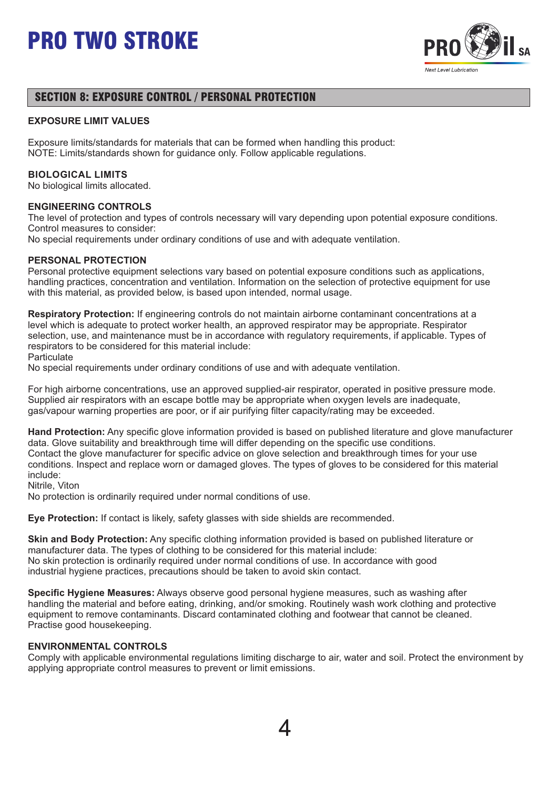

## SECTION 8: EXPOSURE CONTROL / PERSONAL PROTECTION

### **EXPOSURE LIMIT VALUES**

Exposure limits/standards for materials that can be formed when handling this product: NOTE: Limits/standards shown for guidance only. Follow applicable regulations.

#### **BIOLOGICAL LIMITS**

No biological limits allocated.

#### **ENGINEERING CONTROLS**

The level of protection and types of controls necessary will vary depending upon potential exposure conditions. Control measures to consider:

No special requirements under ordinary conditions of use and with adequate ventilation.

#### **PERSONAL PROTECTION**

Personal protective equipment selections vary based on potential exposure conditions such as applications, handling practices, concentration and ventilation. Information on the selection of protective equipment for use with this material, as provided below, is based upon intended, normal usage.

**Respiratory Protection:** If engineering controls do not maintain airborne contaminant concentrations at a level which is adequate to protect worker health, an approved respirator may be appropriate. Respirator selection, use, and maintenance must be in accordance with regulatory requirements, if applicable. Types of respirators to be considered for this material include:

**Particulate** 

No special requirements under ordinary conditions of use and with adequate ventilation.

For high airborne concentrations, use an approved supplied-air respirator, operated in positive pressure mode. Supplied air respirators with an escape bottle may be appropriate when oxygen levels are inadequate, gas/vapour warning properties are poor, or if air purifying filter capacity/rating may be exceeded.

**Hand Protection:** Any specific glove information provided is based on published literature and glove manufacturer data. Glove suitability and breakthrough time will differ depending on the specific use conditions. Contact the glove manufacturer for specific advice on glove selection and breakthrough times for your use conditions. Inspect and replace worn or damaged gloves. The types of gloves to be considered for this material include:

Nitrile, Viton

No protection is ordinarily required under normal conditions of use.

**Eye Protection:** If contact is likely, safety glasses with side shields are recommended.

**Skin and Body Protection:** Any specific clothing information provided is based on published literature or manufacturer data. The types of clothing to be considered for this material include: No skin protection is ordinarily required under normal conditions of use. In accordance with good industrial hygiene practices, precautions should be taken to avoid skin contact.

**Specific Hygiene Measures:** Always observe good personal hygiene measures, such as washing after handling the material and before eating, drinking, and/or smoking. Routinely wash work clothing and protective equipment to remove contaminants. Discard contaminated clothing and footwear that cannot be cleaned. Practise good housekeeping.

#### **ENVIRONMENTAL CONTROLS**

Comply with applicable environmental regulations limiting discharge to air, water and soil. Protect the environment by applying appropriate control measures to prevent or limit emissions.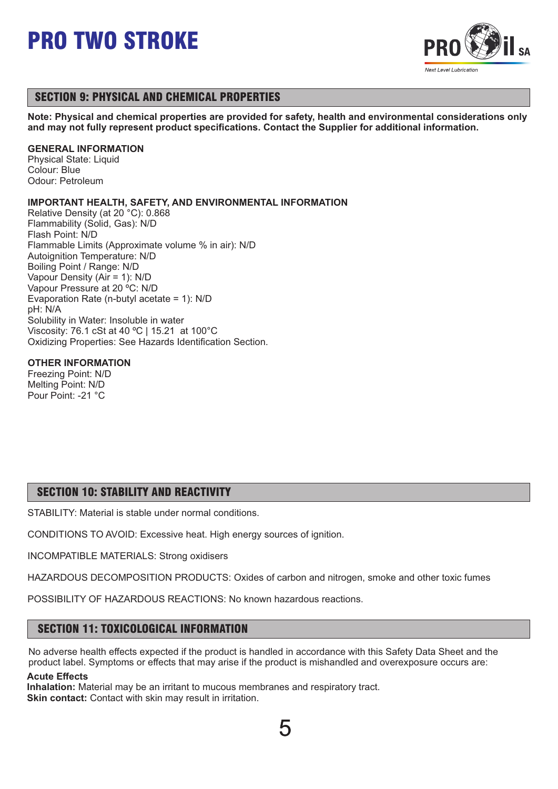

## SECTION 9: PHYSICAL AND CHEMICAL PROPERTIES

**Note: Physical and chemical properties are provided for safety, health and environmental considerations only and may not fully represent product specifications. Contact the Supplier for additional information.**

### **GENERAL INFORMATION**

Physical State: Liquid Colour: Blue Odour: Petroleum

## **IMPORTANT HEALTH, SAFETY, AND ENVIRONMENTAL INFORMATION**

Relative Density (at 20 °C): 0.868 Flammability (Solid, Gas): N/D Flash Point: N/D Flammable Limits (Approximate volume % in air): N/D Autoignition Temperature: N/D Boiling Point / Range: N/D Vapour Density (Air = 1): N/D Vapour Pressure at 20 ºC: N/D Evaporation Rate (n-butyl acetate = 1): N/D pH: N/A Solubility in Water: Insoluble in water Viscosity: 76.1 cSt at 40 ºC | 15.21 at 100°C Oxidizing Properties: See Hazards Identification Section.

## **OTHER INFORMATION**

Freezing Point: N/D Melting Point: N/D Pour Point: -21 °C

## SECTION 10: STABILITY AND REACTIVITY

STABILITY: Material is stable under normal conditions.

CONDITIONS TO AVOID: Excessive heat. High energy sources of ignition.

INCOMPATIBLE MATERIALS: Strong oxidisers

HAZARDOUS DECOMPOSITION PRODUCTS: Oxides of carbon and nitrogen, smoke and other toxic fumes

POSSIBILITY OF HAZARDOUS REACTIONS: No known hazardous reactions.

## SECTION 11: TOXICOLOGICAL INFORMATION

No adverse health effects expected if the product is handled in accordance with this Safety Data Sheet and the product label. Symptoms or effects that may arise if the product is mishandled and overexposure occurs are:

## **Acute Effects**

**Inhalation:** Material may be an irritant to mucous membranes and respiratory tract. **Skin contact:** Contact with skin may result in irritation.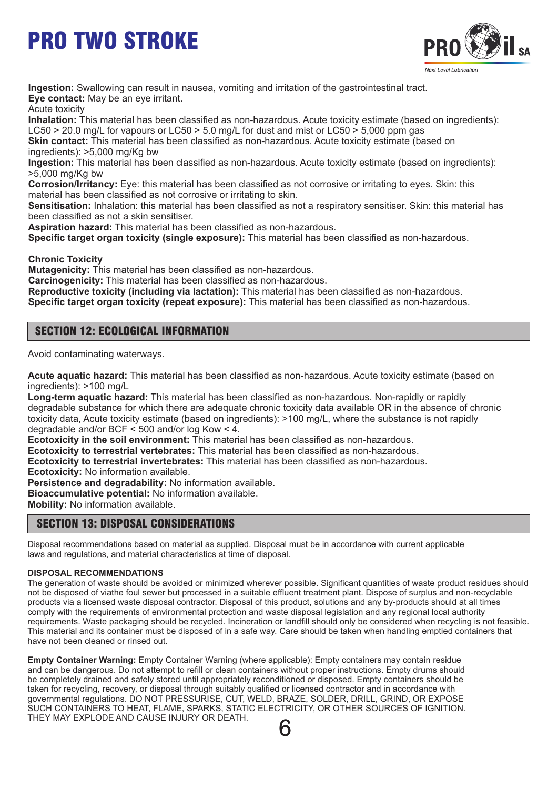

**Ingestion:** Swallowing can result in nausea, vomiting and irritation of the gastrointestinal tract. **Eye contact:** May be an eye irritant.

Acute toxicity

**Inhalation:** This material has been classified as non-hazardous. Acute toxicity estimate (based on ingredients): LC50  $>$  20.0 mg/L for vapours or LC50  $>$  5.0 mg/L for dust and mist or LC50  $>$  5,000 ppm gas

**Skin contact:** This material has been classified as non-hazardous. Acute toxicity estimate (based on ingredients): >5,000 mg/Kg bw

**Ingestion:** This material has been classified as non-hazardous. Acute toxicity estimate (based on ingredients): >5,000 mg/Kg bw

**Corrosion/Irritancy:** Eye: this material has been classified as not corrosive or irritating to eyes. Skin: this material has been classified as not corrosive or irritating to skin.

**Sensitisation:** Inhalation: this material has been classified as not a respiratory sensitiser. Skin: this material has been classified as not a skin sensitiser.

**Aspiration hazard:** This material has been classified as non-hazardous.

**Specific target organ toxicity (single exposure):** This material has been classified as non-hazardous.

**Chronic Toxicity**

**Mutagenicity:** This material has been classified as non-hazardous.

**Carcinogenicity:** This material has been classified as non-hazardous.

**Reproductive toxicity (including via lactation):** This material has been classified as non-hazardous.

**Specific target organ toxicity (repeat exposure):** This material has been classified as non-hazardous.

## SECTION 12: ECOLOGICAL INFORMATION

Avoid contaminating waterways.

**Acute aquatic hazard:** This material has been classified as non-hazardous. Acute toxicity estimate (based on ingredients): >100 mg/L

**Long-term aquatic hazard:** This material has been classified as non-hazardous. Non-rapidly or rapidly degradable substance for which there are adequate chronic toxicity data available OR in the absence of chronic toxicity data, Acute toxicity estimate (based on ingredients): >100 mg/L, where the substance is not rapidly degradable and/or BCF < 500 and/or log Kow < 4.

**Ecotoxicity in the soil environment:** This material has been classified as non-hazardous.

**Ecotoxicity to terrestrial vertebrates:** This material has been classified as non-hazardous.

**Ecotoxicity to terrestrial invertebrates:** This material has been classified as non-hazardous.

**Ecotoxicity:** No information available.

**Persistence and degradability:** No information available.

**Bioaccumulative potential:** No information available.

**Mobility:** No information available.

## SECTION 13: DISPOSAL CONSIDERATIONS

Disposal recommendations based on material as supplied. Disposal must be in accordance with current applicable laws and regulations, and material characteristics at time of disposal.

### **DISPOSAL RECOMMENDATIONS**

The generation of waste should be avoided or minimized wherever possible. Significant quantities of waste product residues should not be disposed of viathe foul sewer but processed in a suitable effluent treatment plant. Dispose of surplus and non-recyclable products via a licensed waste disposal contractor. Disposal of this product, solutions and any by-products should at all times comply with the requirements of environmental protection and waste disposal legislation and any regional local authority requirements. Waste packaging should be recycled. Incineration or landfill should only be considered when recycling is not feasible. This material and its container must be disposed of in a safe way. Care should be taken when handling emptied containers that have not been cleaned or rinsed out.

**Empty Container Warning:** Empty Container Warning (where applicable): Empty containers may contain residue and can be dangerous. Do not attempt to refill or clean containers without proper instructions. Empty drums should be completely drained and safely stored until appropriately reconditioned or disposed. Empty containers should be taken for recycling, recovery, or disposal through suitably qualified or licensed contractor and in accordance with governmental regulations. DO NOT PRESSURISE, CUT, WELD, BRAZE, SOLDER, DRILL, GRIND, OR EXPOSE SUCH CONTAINERS TO HEAT, FLAME, SPARKS, STATIC ELECTRICITY, OR OTHER SOURCES OF IGNITION. THEY MAY EXPLODE AND CAUSE INJURY OR DEATH.